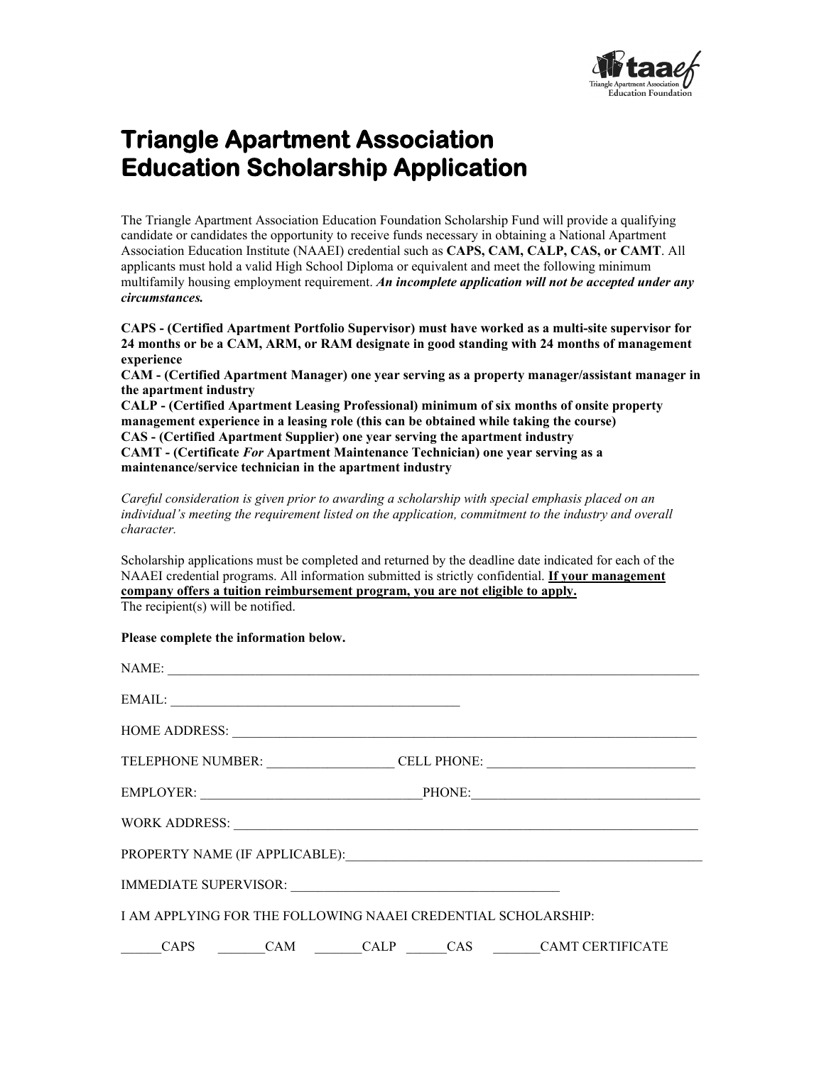

## **Triangle Apartment Association Education Scholarship Application**

The Triangle Apartment Association Education Foundation Scholarship Fund will provide a qualifying candidate or candidates the opportunity to receive funds necessary in obtaining a National Apartment Association Education Institute (NAAEI) credential such as **CAPS, CAM, CALP, CAS, or CAMT**. All applicants must hold a valid High School Diploma or equivalent and meet the following minimum multifamily housing employment requirement. *An incomplete application will not be accepted under any circumstances.*

**CAPS - (Certified Apartment Portfolio Supervisor) must have worked as a multi-site supervisor for 24 months or be a CAM, ARM, or RAM designate in good standing with 24 months of management experience** 

**CAM - (Certified Apartment Manager) one year serving as a property manager/assistant manager in the apartment industry**

**CALP - (Certified Apartment Leasing Professional) minimum of six months of onsite property management experience in a leasing role (this can be obtained while taking the course) CAS - (Certified Apartment Supplier) one year serving the apartment industry CAMT - (Certificate** *For* **Apartment Maintenance Technician) one year serving as a maintenance/service technician in the apartment industry**

*Careful consideration is given prior to awarding a scholarship with special emphasis placed on an individual's meeting the requirement listed on the application, commitment to the industry and overall character.*

Scholarship applications must be completed and returned by the deadline date indicated for each of the NAAEI credential programs. All information submitted is strictly confidential. **If your management company offers a tuition reimbursement program, you are not eligible to apply.** The recipient(s) will be notified.

#### **Please complete the information below.**

| NAME:                                                         |  |  |  |                                                                                                                                                                                                                                |  |
|---------------------------------------------------------------|--|--|--|--------------------------------------------------------------------------------------------------------------------------------------------------------------------------------------------------------------------------------|--|
| EMAIL:                                                        |  |  |  |                                                                                                                                                                                                                                |  |
|                                                               |  |  |  | HOME ADDRESS: New York Contract the Contract of the Contract of the Contract of the Contract of the Contract of the Contract of the Contract of the Contract of the Contract of the Contract of the Contract of the Contract o |  |
|                                                               |  |  |  | TELEPHONE NUMBER: CELL PHONE: CELL PHONE:                                                                                                                                                                                      |  |
|                                                               |  |  |  | EMPLOYER: PHONE: PHONE:                                                                                                                                                                                                        |  |
|                                                               |  |  |  |                                                                                                                                                                                                                                |  |
|                                                               |  |  |  |                                                                                                                                                                                                                                |  |
|                                                               |  |  |  |                                                                                                                                                                                                                                |  |
| I AM APPLYING FOR THE FOLLOWING NAAEI CREDENTIAL SCHOLARSHIP: |  |  |  |                                                                                                                                                                                                                                |  |
|                                                               |  |  |  | CAPS CAM CALP CAS CAMT CERTIFICATE                                                                                                                                                                                             |  |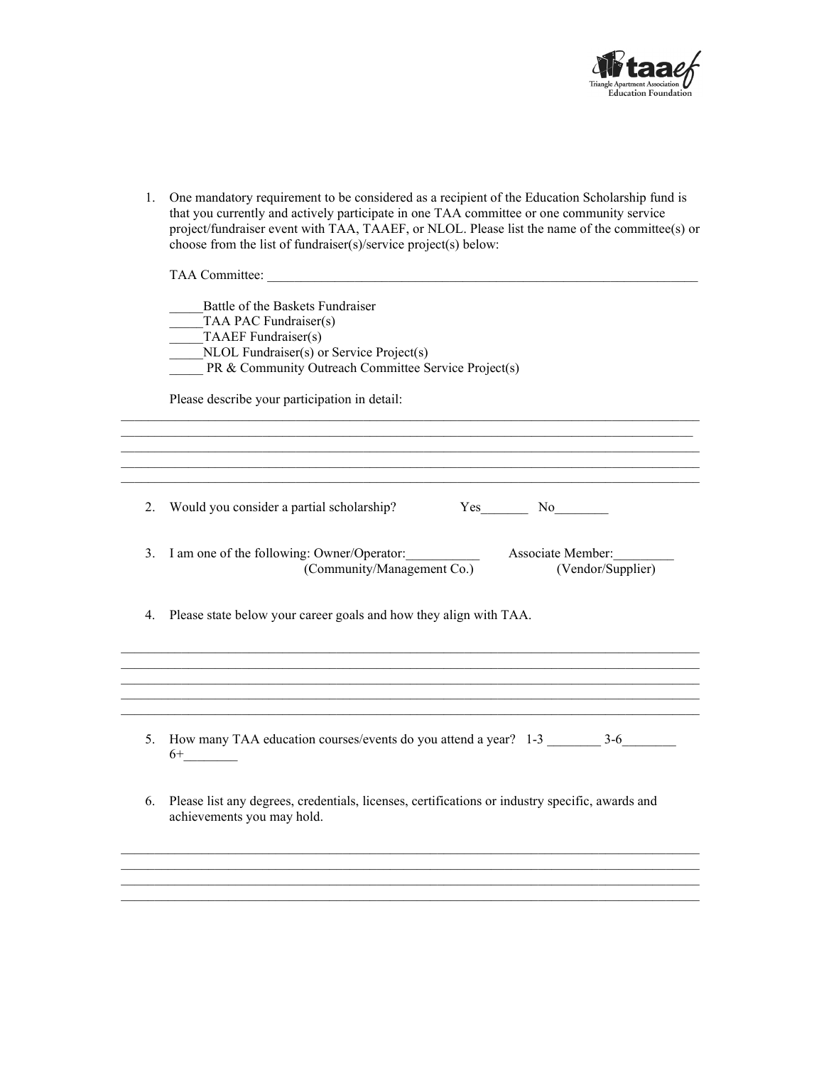

1. One mandatory requirement to be considered as a recipient of the Education Scholarship fund is that you currently and actively participate in one TAA committee or one community service project/fundraiser event with TAA, TAAEF, or NLOL. Please list the name of the committee(s) or choose from the list of fundraiser(s)/service project(s) below:

|    | TAA Committee:                                                                                                                                                                       |
|----|--------------------------------------------------------------------------------------------------------------------------------------------------------------------------------------|
|    | Battle of the Baskets Fundraiser<br>TAA PAC Fundraiser(s)<br>TAAEF Fundraiser(s)<br>NLOL Fundraiser(s) or Service Project(s)<br>PR & Community Outreach Committee Service Project(s) |
|    | Please describe your participation in detail:                                                                                                                                        |
|    |                                                                                                                                                                                      |
| 2. | Would you consider a partial scholarship?<br>Yes No                                                                                                                                  |
| 3. | I am one of the following: Owner/Operator:<br>Associate Member:<br>(Community/Management Co.)<br>(Vendor/Supplier)                                                                   |
| 4. | Please state below your career goals and how they align with TAA.                                                                                                                    |
|    |                                                                                                                                                                                      |
| 5. | $6+$                                                                                                                                                                                 |
| 6. | Please list any degrees, credentials, licenses, certifications or industry specific, awards and<br>achievements you may hold.                                                        |
|    |                                                                                                                                                                                      |
|    |                                                                                                                                                                                      |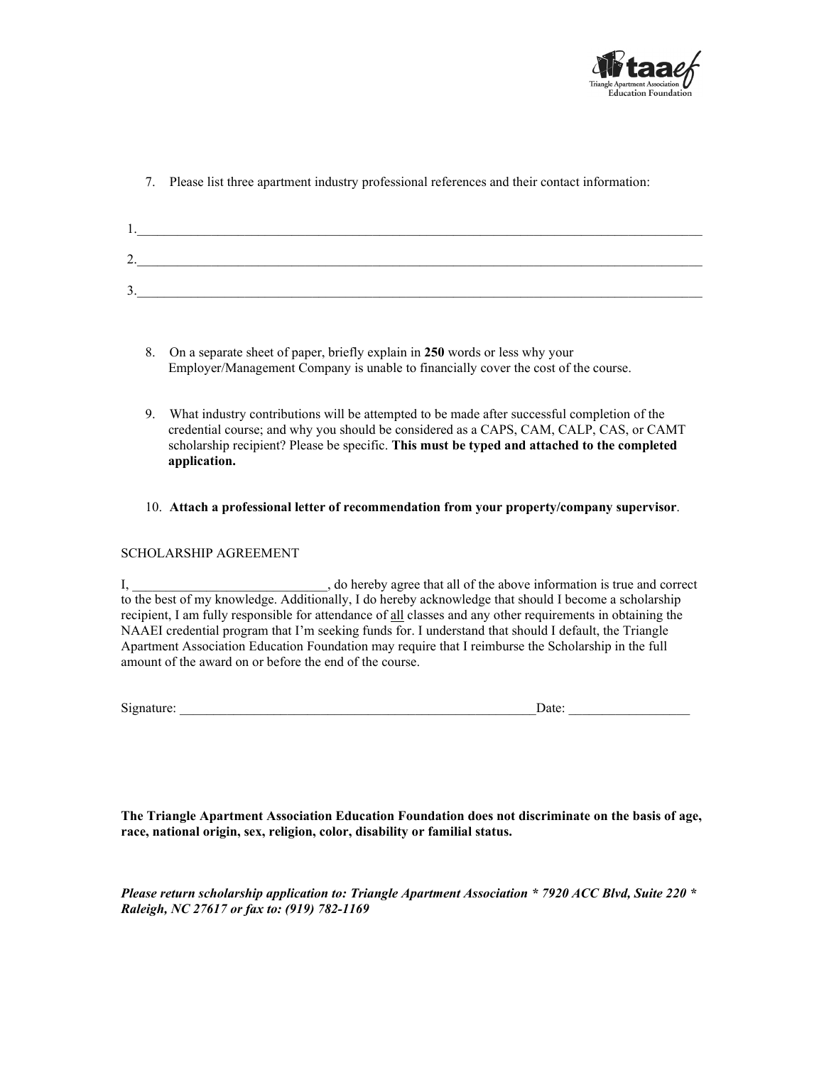

7. Please list three apartment industry professional references and their contact information:

| . .          |  |  |  |
|--------------|--|--|--|
| -<br><u></u> |  |  |  |
| J .          |  |  |  |

- 8. On a separate sheet of paper, briefly explain in **250** words or less why your Employer/Management Company is unable to financially cover the cost of the course.
- 9. What industry contributions will be attempted to be made after successful completion of the credential course; and why you should be considered as a CAPS, CAM, CALP, CAS, or CAMT scholarship recipient? Please be specific. **This must be typed and attached to the completed application.**
- 10. **Attach a professional letter of recommendation from your property/company supervisor**.

#### SCHOLARSHIP AGREEMENT

I, Let  $\Box$   $\Box$   $\Box$   $\Box$   $\Box$  do hereby agree that all of the above information is true and correct to the best of my knowledge. Additionally, I do hereby acknowledge that should I become a scholarship recipient, I am fully responsible for attendance of all classes and any other requirements in obtaining the NAAEI credential program that I'm seeking funds for. I understand that should I default, the Triangle Apartment Association Education Foundation may require that I reimburse the Scholarship in the full amount of the award on or before the end of the course.

Signature: \_\_\_\_\_\_\_\_\_\_\_\_\_\_\_\_\_\_\_\_\_\_\_\_\_\_\_\_\_\_\_\_\_\_\_\_\_\_\_\_\_\_\_\_\_\_\_\_\_\_\_\_\_Date: \_\_\_\_\_\_\_\_\_\_\_\_\_\_\_\_\_\_

**The Triangle Apartment Association Education Foundation does not discriminate on the basis of age, race, national origin, sex, religion, color, disability or familial status.** 

*Please return scholarship application to: Triangle Apartment Association \* 7920 ACC Blvd, Suite 220 \* Raleigh, NC 27617 or fax to: (919) 782-1169*